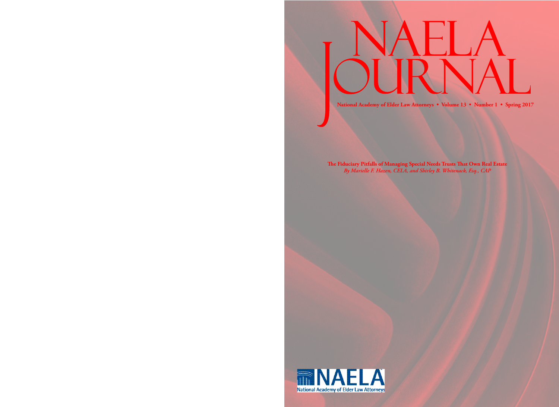**National Academy of Elder Law Attorneys • Volume 13 • Number 1 • Spring 2017**

**The Fiduciary Pitfalls of Managing Special Needs Trusts That Own Real Estate** *By Marielle F. Hazen, CELA, and Shirley B. Whitenack, Esq., CAP*

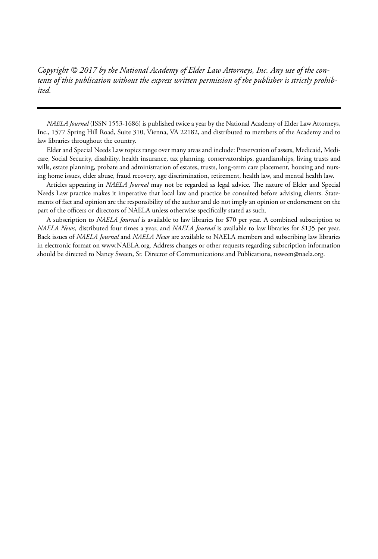*Copyright © 2017 by the National Academy of Elder Law Attorneys, Inc. Any use of the contents of this publication without the express written permission of the publisher is strictly prohibited.*

*NAELA Journal* (ISSN 1553-1686) is published twice a year by the National Academy of Elder Law Attorneys, Inc., 1577 Spring Hill Road, Suite 310, Vienna, VA 22182, and distributed to members of the Academy and to law libraries throughout the country.

Elder and Special Needs Law topics range over many areas and include: Preservation of assets, Medicaid, Medicare, Social Security, disability, health insurance, tax planning, conservatorships, guardianships, living trusts and wills, estate planning, probate and administration of estates, trusts, long-term care placement, housing and nursing home issues, elder abuse, fraud recovery, age discrimination, retirement, health law, and mental health law.

Articles appearing in *NAELA Journal* may not be regarded as legal advice. The nature of Elder and Special Needs Law practice makes it imperative that local law and practice be consulted before advising clients. Statements of fact and opinion are the responsibility of the author and do not imply an opinion or endorsement on the part of the officers or directors of NAELA unless otherwise specifically stated as such.

A subscription to *NAELA Journal* is available to law libraries for \$70 per year. A combined subscription to *NAELA News*, distributed four times a year, and *NAELA Journal* is available to law libraries for \$135 per year. Back issues of *NAELA Journal* and *NAELA News* are available to NAELA members and subscribing law libraries in electronic format on www.NAELA.org. Address changes or other requests regarding subscription information should be directed to Nancy Sween, Sr. Director of Communications and Publications, nsween@naela.org.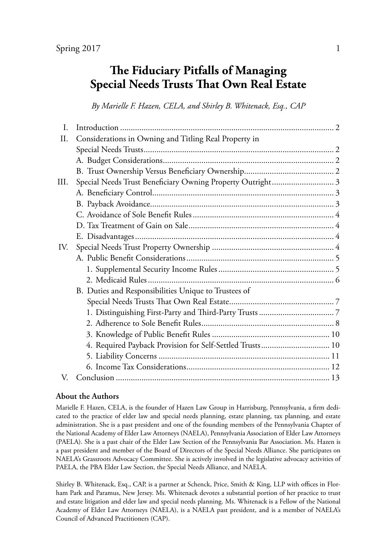# **The Fiduciary Pitfalls of Managing Special Needs Trusts That Own Real Estate**

*By Marielle F. Hazen, CELA, and Shirley B. Whitenack, Esq., CAP*

| L.   |                                                            |  |
|------|------------------------------------------------------------|--|
| Π.   | Considerations in Owning and Titling Real Property in      |  |
|      |                                                            |  |
|      |                                                            |  |
|      |                                                            |  |
| III. | Special Needs Trust Beneficiary Owning Property Outright 3 |  |
|      |                                                            |  |
|      |                                                            |  |
|      |                                                            |  |
|      |                                                            |  |
|      |                                                            |  |
| IV.  |                                                            |  |
|      |                                                            |  |
|      |                                                            |  |
|      |                                                            |  |
|      | B. Duties and Responsibilities Unique to Trustees of       |  |
|      |                                                            |  |
|      |                                                            |  |
|      |                                                            |  |
|      |                                                            |  |
|      | 4. Required Payback Provision for Self-Settled Trusts 10   |  |
|      |                                                            |  |
|      |                                                            |  |
| V.   |                                                            |  |

#### **About the Authors**

Marielle F. Hazen, CELA, is the founder of Hazen Law Group in Harrisburg, Pennsylvania, a firm dedicated to the practice of elder law and special needs planning, estate planning, tax planning, and estate administration. She is a past president and one of the founding members of the Pennsylvania Chapter of the National Academy of Elder Law Attorneys (NAELA), Pennsylvania Association of Elder Law Attorneys (PAELA). She is a past chair of the Elder Law Section of the Pennsylvania Bar Association. Ms. Hazen is a past president and member of the Board of Directors of the Special Needs Alliance. She participates on NAELA's Grassroots Advocacy Committee. She is actively involved in the legislative advocacy activities of PAELA, the PBA Elder Law Section, the Special Needs Alliance, and NAELA.

Shirley B. Whitenack, Esq., CAP, is a partner at Schenck, Price, Smith & King, LLP with offices in Florham Park and Paramus, New Jersey. Ms. Whitenack devotes a substantial portion of her practice to trust and estate litigation and elder law and special needs planning. Ms. Whitenack is a Fellow of the National Academy of Elder Law Attorneys (NAELA), is a NAELA past president, and is a member of NAELA's Council of Advanced Practitioners (CAP).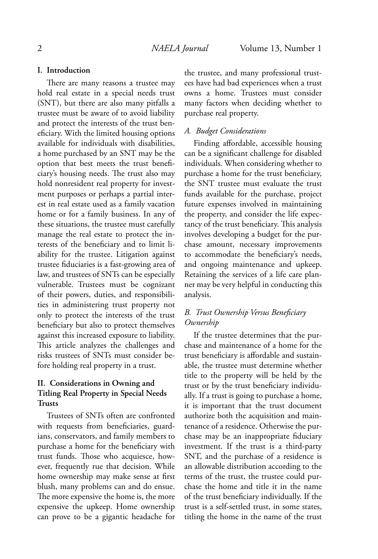#### **I. Introduction**

There are many reasons a trustee may hold real estate in a special needs trust (SNT), but there are also many pitfalls a trustee must be aware of to avoid liability and protect the interests of the trust beneficiary. With the limited housing options available for individuals with disabilities, a home purchased by an SNT may be the option that best meets the trust beneficiary's housing needs. The trust also may hold nonresident real property for investment purposes or perhaps a partial interest in real estate used as a family vacation home or for a family business. In any of these situations, the trustee must carefully manage the real estate to protect the interests of the beneficiary and to limit liability for the trustee. Litigation against trustee fiduciaries is a fast-growing area of law, and trustees of SNTs can be especially vulnerable. Trustees must be cognizant of their powers, duties, and responsibilities in administering trust property not only to protect the interests of the trust beneficiary but also to protect themselves against this increased exposure to liability. This article analyzes the challenges and risks trustees of SNTs must consider before holding real property in a trust.

# **II. Considerations in Owning and Titling Real Property in Special Needs Trusts**

Trustees of SNTs often are confronted with requests from beneficiaries, guardians, conservators, and family members to purchase a home for the beneficiary with trust funds. Those who acquiesce, however, frequently rue that decision. While home ownership may make sense at first blush, many problems can and do ensue. The more expensive the home is, the more expensive the upkeep. Home ownership can prove to be a gigantic headache for

the trustee, and many professional trustees have had bad experiences when a trust owns a home. Trustees must consider many factors when deciding whether to purchase real property.

#### *A. Budget Considerations*

Finding affordable, accessible housing can be a significant challenge for disabled individuals. When considering whether to purchase a home for the trust beneficiary, the SNT trustee must evaluate the trust funds available for the purchase, project future expenses involved in maintaining the property, and consider the life expectancy of the trust beneficiary. This analysis involves developing a budget for the purchase amount, necessary improvements to accommodate the beneficiary's needs, and ongoing maintenance and upkeep. Retaining the services of a life care planner may be very helpful in conducting this analysis.

# *B. Trust Ownership Versus Beneficiary Ownership*

If the trustee determines that the purchase and maintenance of a home for the trust beneficiary is affordable and sustainable, the trustee must determine whether title to the property will be held by the trust or by the trust beneficiary individually. If a trust is going to purchase a home, it is important that the trust document authorize both the acquisition and maintenance of a residence. Otherwise the purchase may be an inappropriate fiduciary investment. If the trust is a third-party SNT, and the purchase of a residence is an allowable distribution according to the terms of the trust, the trustee could purchase the home and title it in the name of the trust beneficiary individually. If the trust is a self-settled trust, in some states, titling the home in the name of the trust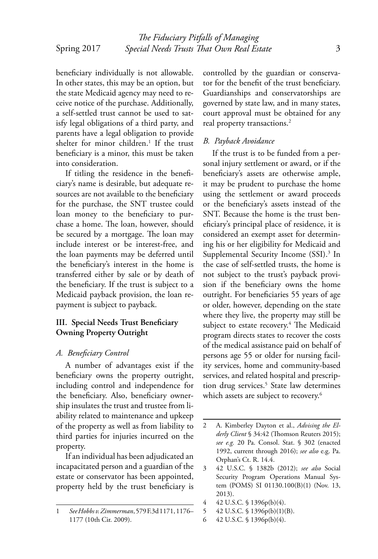In other states, this may be an option, but the state Medicaid agency may need to receive notice of the purchase. Additionally, a self-settled trust cannot be used to satisfy legal obligations of a third party, and parents have a legal obligation to provide shelter for minor children.<sup>1</sup> If the trust beneficiary is a minor, this must be taken into consideration.

If titling the residence in the beneficiary's name is desirable, but adequate resources are not available to the beneficiary for the purchase, the SNT trustee could loan money to the beneficiary to purchase a home. The loan, however, should be secured by a mortgage. The loan may include interest or be interest-free, and the loan payments may be deferred until the beneficiary's interest in the home is transferred either by sale or by death of the beneficiary. If the trust is subject to a Medicaid payback provision, the loan repayment is subject to payback.

# **III. Special Needs Trust Beneficiary Owning Property Outright**

# *A. Beneficiary Control*

A number of advantages exist if the beneficiary owns the property outright, including control and independence for the beneficiary. Also, beneficiary ownership insulates the trust and trustee from liability related to maintenance and upkeep of the property as well as from liability to third parties for injuries incurred on the property.

If an individual has been adjudicated an incapacitated person and a guardian of the estate or conservator has been appointed, property held by the trust beneficiary is controlled by the guardian or conservator for the benefit of the trust beneficiary. Guardianships and conservatorships are governed by state law, and in many states, court approval must be obtained for any real property transactions.<sup>2</sup>

# *B. Payback Avoidance*

If the trust is to be funded from a personal injury settlement or award, or if the beneficiary's assets are otherwise ample, it may be prudent to purchase the home using the settlement or award proceeds or the beneficiary's assets instead of the SNT. Because the home is the trust beneficiary's principal place of residence, it is considered an exempt asset for determining his or her eligibility for Medicaid and Supplemental Security Income (SSI).<sup>3</sup> In the case of self-settled trusts, the home is not subject to the trust's payback provision if the beneficiary owns the home outright. For beneficiaries 55 years of age or older, however, depending on the state where they live, the property may still be subject to estate recovery.<sup>4</sup> The Medicaid program directs states to recover the costs of the medical assistance paid on behalf of persons age 55 or older for nursing facility services, home and community-based services, and related hospital and prescription drug services.<sup>5</sup> State law determines which assets are subject to recovery.<sup>6</sup>

- 4 42 U.S.C. § 1396p(b)(4).
- 5 42 U.S.C. § 1396p(b)(1)(B).
- 6 42 U.S.C. § 1396p(b)(4).

<sup>1</sup> *See Hobbs v. Zimmerman*, 579 F.3d 1171, 1176– 1177 (10th Cir. 2009).

<sup>2</sup> A. Kimberley Dayton et al., *Advising the Elderly Client* § 34:42 (Thomson Reuters 2015); *see e.g.* 20 Pa. Consol. Stat. § 302 (enacted 1992, current through 2016); *see also* e.g. Pa. Orphan's Ct. R. 14.4.

<sup>3 42</sup> U.S.C. § 1382b (2012); *see also* Social Security Program Operations Manual System (POMS) SI 01130.100(B)(1) (Nov. 13, 2013).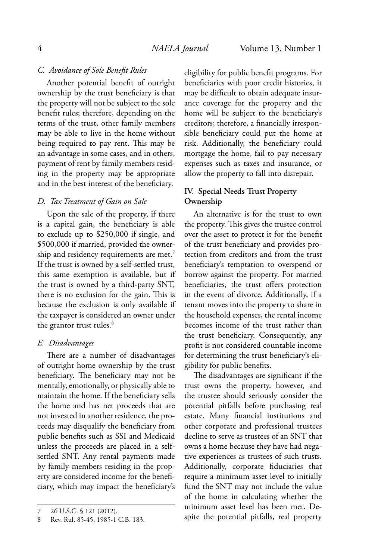#### *C. Avoidance of Sole Benefit Rules*

Another potential benefit of outright ownership by the trust beneficiary is that the property will not be subject to the sole benefit rules; therefore, depending on the terms of the trust, other family members may be able to live in the home without being required to pay rent. This may be an advantage in some cases, and in others, payment of rent by family members residing in the property may be appropriate and in the best interest of the beneficiary.

#### *D. Tax Treatment of Gain on Sale*

Upon the sale of the property, if there is a capital gain, the beneficiary is able to exclude up to \$250,000 if single, and \$500,000 if married, provided the ownership and residency requirements are met.<sup>7</sup> If the trust is owned by a self-settled trust, this same exemption is available, but if the trust is owned by a third-party SNT, there is no exclusion for the gain. This is because the exclusion is only available if the taxpayer is considered an owner under the grantor trust rules.<sup>8</sup>

#### *E. Disadvantages*

There are a number of disadvantages of outright home ownership by the trust beneficiary. The beneficiary may not be mentally, emotionally, or physically able to maintain the home. If the beneficiary sells the home and has net proceeds that are not invested in another residence, the proceeds may disqualify the beneficiary from public benefits such as SSI and Medicaid unless the proceeds are placed in a selfsettled SNT. Any rental payments made by family members residing in the property are considered income for the beneficiary, which may impact the beneficiary's

eligibility for public benefit programs. For beneficiaries with poor credit histories, it may be difficult to obtain adequate insurance coverage for the property and the home will be subject to the beneficiary's creditors; therefore, a financially irresponsible beneficiary could put the home at risk. Additionally, the beneficiary could mortgage the home, fail to pay necessary expenses such as taxes and insurance, or allow the property to fall into disrepair.

# **IV. Special Needs Trust Property Ownership**

An alternative is for the trust to own the property. This gives the trustee control over the asset to protect it for the benefit of the trust beneficiary and provides protection from creditors and from the trust beneficiary's temptation to overspend or borrow against the property. For married beneficiaries, the trust offers protection in the event of divorce. Additionally, if a tenant moves into the property to share in the household expenses, the rental income becomes income of the trust rather than the trust beneficiary. Consequently, any profit is not considered countable income for determining the trust beneficiary's eligibility for public benefits.

The disadvantages are significant if the trust owns the property, however, and the trustee should seriously consider the potential pitfalls before purchasing real estate. Many financial institutions and other corporate and professional trustees decline to serve as trustees of an SNT that owns a home because they have had negative experiences as trustees of such trusts. Additionally, corporate fiduciaries that require a minimum asset level to initially fund the SNT may not include the value of the home in calculating whether the minimum asset level has been met. Despite the potential pitfalls, real property

<sup>7 26</sup> U.S.C. § 121 (2012).

<sup>8</sup> Rev. Rul. 85-45, 1985-1 C.B. 183.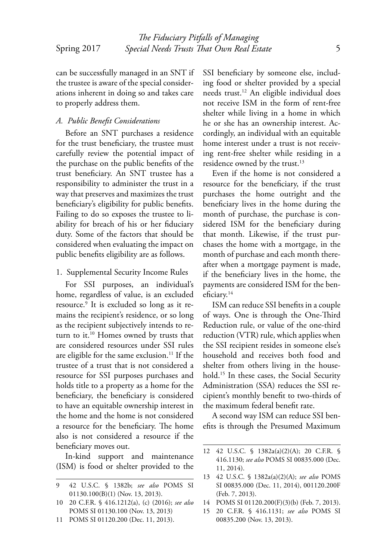can be successfully managed in an SNT if the trustee is aware of the special considerations inherent in doing so and takes care to properly address them.

#### *A. Public Benefit Considerations*

Before an SNT purchases a residence for the trust beneficiary, the trustee must carefully review the potential impact of the purchase on the public benefits of the trust beneficiary. An SNT trustee has a responsibility to administer the trust in a way that preserves and maximizes the trust beneficiary's eligibility for public benefits. Failing to do so exposes the trustee to liability for breach of his or her fiduciary duty. Some of the factors that should be considered when evaluating the impact on public benefits eligibility are as follows.

1. Supplemental Security Income Rules

For SSI purposes, an individual's home, regardless of value, is an excluded resource.<sup>9</sup> It is excluded so long as it remains the recipient's residence, or so long as the recipient subjectively intends to return to it.<sup>10</sup> Homes owned by trusts that are considered resources under SSI rules are eligible for the same exclusion.<sup>11</sup> If the trustee of a trust that is not considered a resource for SSI purposes purchases and holds title to a property as a home for the beneficiary, the beneficiary is considered to have an equitable ownership interest in the home and the home is not considered a resource for the beneficiary. The home also is not considered a resource if the beneficiary moves out.

In-kind support and maintenance (ISM) is food or shelter provided to the SSI beneficiary by someone else, including food or shelter provided by a special needs trust.<sup>12</sup> An eligible individual does not receive ISM in the form of rent-free shelter while living in a home in which he or she has an ownership interest. Accordingly, an individual with an equitable home interest under a trust is not receiving rent-free shelter while residing in a residence owned by the trust.<sup>13</sup>

Even if the home is not considered a resource for the beneficiary, if the trust purchases the home outright and the beneficiary lives in the home during the month of purchase, the purchase is considered ISM for the beneficiary during that month. Likewise, if the trust purchases the home with a mortgage, in the month of purchase and each month thereafter when a mortgage payment is made, if the beneficiary lives in the home, the payments are considered ISM for the beneficiary.<sup>14</sup>

ISM can reduce SSI benefits in a couple of ways. One is through the One-Third Reduction rule, or value of the one-third reduction (VTR) rule, which applies when the SSI recipient resides in someone else's household and receives both food and shelter from others living in the household.<sup>15</sup> In these cases, the Social Security Administration (SSA) reduces the SSI recipient's monthly benefit to two-thirds of the maximum federal benefit rate.

A second way ISM can reduce SSI benefits is through the Presumed Maximum

- 14 POMS SI 01120.200(F)(3)(b) (Feb. 7, 2013).
- 15 20 C.F.R. § 416.1131; *see also* POMS SI 00835.200 (Nov. 13, 2013).

<sup>9 42</sup> U.S.C. § 1382b; *see also* POMS SI 01130.100(B)(1) (Nov. 13, 2013).

<sup>10 20</sup> C.F.R. § 416.1212(a), (c) (2016); *see also*  POMS SI 01130.100 (Nov. 13, 2013)

<sup>11</sup> POMS SI 01120.200 (Dec. 11, 2013).

<sup>12 42</sup> U.S.C. § 1382a(a)(2)(A); 20 C.F.R. § 416.1130; *see also* POMS SI 00835.000 (Dec. 11, 2014).

<sup>13 42</sup> U.S.C. § 1382a(a)(2)(A); *see also* POMS SI 00835.000 (Dec. 11, 2014), 001120.200F (Feb. 7, 2013).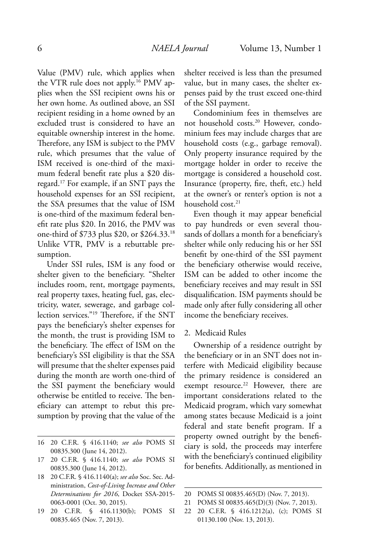Value (PMV) rule, which applies when the VTR rule does not apply.16 PMV applies when the SSI recipient owns his or her own home. As outlined above, an SSI recipient residing in a home owned by an excluded trust is considered to have an equitable ownership interest in the home. Therefore, any ISM is subject to the PMV rule, which presumes that the value of ISM received is one-third of the maximum federal benefit rate plus a \$20 disregard.<sup>17</sup> For example, if an SNT pays the household expenses for an SSI recipient, the SSA presumes that the value of ISM is one-third of the maximum federal benefit rate plus \$20. In 2016, the PMV was one-third of \$733 plus \$20, or \$264.33.<sup>18</sup> Unlike VTR, PMV is a rebuttable presumption.

Under SSI rules, ISM is any food or shelter given to the beneficiary. "Shelter includes room, rent, mortgage payments, real property taxes, heating fuel, gas, electricity, water, sewerage, and garbage collection services."<sup>19</sup> Therefore, if the SNT pays the beneficiary's shelter expenses for the month, the trust is providing ISM to the beneficiary. The effect of ISM on the beneficiary's SSI eligibility is that the SSA will presume that the shelter expenses paid during the month are worth one-third of the SSI payment the beneficiary would otherwise be entitled to receive. The beneficiary can attempt to rebut this presumption by proving that the value of the

shelter received is less than the presumed value, but in many cases, the shelter expenses paid by the trust exceed one-third of the SSI payment.

Condominium fees in themselves are not household costs.20 However, condominium fees may include charges that are household costs (e.g., garbage removal). Only property insurance required by the mortgage holder in order to receive the mortgage is considered a household cost. Insurance (property, fire, theft, etc.) held at the owner's or renter's option is not a household cost.<sup>21</sup>

Even though it may appear beneficial to pay hundreds or even several thousands of dollars a month for a beneficiary's shelter while only reducing his or her SSI benefit by one-third of the SSI payment the beneficiary otherwise would receive, ISM can be added to other income the beneficiary receives and may result in SSI disqualification. ISM payments should be made only after fully considering all other income the beneficiary receives.

#### 2. Medicaid Rules

Ownership of a residence outright by the beneficiary or in an SNT does not interfere with Medicaid eligibility because the primary residence is considered an exempt resource.<sup>22</sup> However, there are important considerations related to the Medicaid program, which vary somewhat among states because Medicaid is a joint federal and state benefit program. If a property owned outright by the beneficiary is sold, the proceeds may interfere with the beneficiary's continued eligibility for benefits. Additionally, as mentioned in

<sup>16 20</sup> C.F.R. § 416.1140; *see also* POMS SI 00835.300 (June 14, 2012).

<sup>17 20</sup> C.F.R. § 416.1140; *see also* POMS SI 00835.300 (June 14, 2012).

<sup>18 20</sup> C.F.R. § 416.1140(a); *see also* Soc. Sec. Administration, *Cost-of-Living Increase and Other Determinations for 2016*, Docket SSA-2015- 0063-0001 (Oct. 30, 2015).

<sup>19 20</sup> C.F.R. § 416.1130(b); POMS SI 00835.465 (Nov. 7, 2013).

<sup>20</sup> POMS SI 00835.465(D) (Nov. 7, 2013).

<sup>21</sup> POMS SI 00835.465(D)(3) (Nov. 7, 2013).

<sup>22 20</sup> C.F.R. § 416.1212(a), (c); POMS SI 01130.100 (Nov. 13, 2013).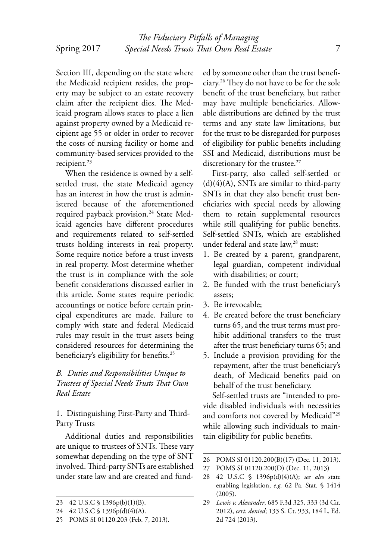Section III, depending on the state where the Medicaid recipient resides, the property may be subject to an estate recovery claim after the recipient dies. The Medicaid program allows states to place a lien against property owned by a Medicaid recipient age 55 or older in order to recover the costs of nursing facility or home and community-based services provided to the recipient.<sup>23</sup>

When the residence is owned by a selfsettled trust, the state Medicaid agency has an interest in how the trust is administered because of the aforementioned required payback provision.<sup>24</sup> State Medicaid agencies have different procedures and requirements related to self-settled trusts holding interests in real property. Some require notice before a trust invests in real property. Most determine whether the trust is in compliance with the sole benefit considerations discussed earlier in this article. Some states require periodic accountings or notice before certain principal expenditures are made. Failure to comply with state and federal Medicaid rules may result in the trust assets being considered resources for determining the beneficiary's eligibility for benefits.<sup>25</sup>

*B. Duties and Responsibilities Unique to Trustees of Special Needs Trusts That Own Real Estate*

1. Distinguishing First-Party and Third-Party Trusts

Additional duties and responsibilities are unique to trustees of SNTs. These vary somewhat depending on the type of SNT involved. Third-party SNTs are established under state law and are created and funded by someone other than the trust beneficiary.<sup>26</sup> They do not have to be for the sole benefit of the trust beneficiary, but rather may have multiple beneficiaries. Allowable distributions are defined by the trust terms and any state law limitations, but for the trust to be disregarded for purposes of eligibility for public benefits including SSI and Medicaid, distributions must be discretionary for the trustee.<sup>27</sup>

First-party, also called self-settled or  $(d)(4)(A)$ , SNTs are similar to third-party SNTs in that they also benefit trust beneficiaries with special needs by allowing them to retain supplemental resources while still qualifying for public benefits. Self-settled SNTs, which are established under federal and state law,<sup>28</sup> must:

- 1. Be created by a parent, grandparent, legal guardian, competent individual with disabilities; or court;
- 2. Be funded with the trust beneficiary's assets;
- 3. Be irrevocable;
- 4. Be created before the trust beneficiary turns 65, and the trust terms must prohibit additional transfers to the trust after the trust beneficiary turns 65; and
- 5. Include a provision providing for the repayment, after the trust beneficiary's death, of Medicaid benefits paid on behalf of the trust beneficiary.

Self-settled trusts are "intended to provide disabled individuals with necessities and comforts not covered by Medicaid"<sup>29</sup> while allowing such individuals to maintain eligibility for public benefits.

<sup>23 42</sup> U.S.C § 1396p(b)(1)(B).

<sup>24 42</sup> U.S.C § 1396p(d)(4)(A).

<sup>25</sup> POMS SI 01120.203 (Feb. 7, 2013).

<sup>26</sup> POMS SI 01120.200(B)(17) (Dec. 11, 2013).

<sup>27</sup> POMS SI 01120.200(D) (Dec. 11, 2013)

<sup>28 42</sup> U.S.C § 1396p(d)(4)(A); *see also* state enabling legislation, *e.g.* 62 Pa. Stat. § 1414 (2005).

<sup>29</sup> *Lewis v. Alexander*, 685 F.3d 325, 333 (3d Cir. 2012), *cert. denied*; 133 S. Ct. 933, 184 L. Ed. 2d 724 (2013).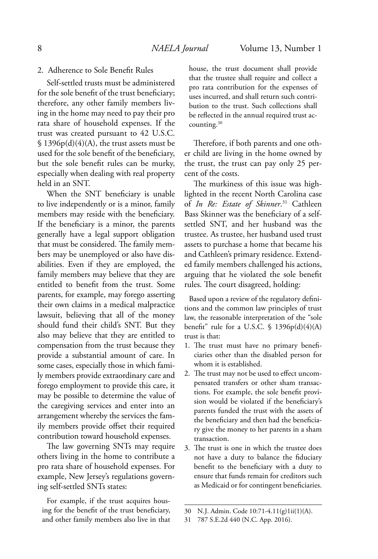### 2. Adherence to Sole Benefit Rules

Self-settled trusts must be administered for the sole benefit of the trust beneficiary; therefore, any other family members living in the home may need to pay their pro rata share of household expenses. If the trust was created pursuant to 42 U.S.C.  $$1396p(d)(4)(A)$ , the trust assets must be used for the sole benefit of the beneficiary, but the sole benefit rules can be murky, especially when dealing with real property held in an SNT.

When the SNT beneficiary is unable to live independently or is a minor, family members may reside with the beneficiary. If the beneficiary is a minor, the parents generally have a legal support obligation that must be considered. The family members may be unemployed or also have disabilities. Even if they are employed, the family members may believe that they are entitled to benefit from the trust. Some parents, for example, may forego asserting their own claims in a medical malpractice lawsuit, believing that all of the money should fund their child's SNT. But they also may believe that they are entitled to compensation from the trust because they provide a substantial amount of care. In some cases, especially those in which family members provide extraordinary care and forego employment to provide this care, it may be possible to determine the value of the caregiving services and enter into an arrangement whereby the services the family members provide offset their required contribution toward household expenses.

The law governing SNTs may require others living in the home to contribute a pro rata share of household expenses. For example, New Jersey's regulations governing self-settled SNTs states:

For example, if the trust acquires housing for the benefit of the trust beneficiary, and other family members also live in that house, the trust document shall provide that the trustee shall require and collect a pro rata contribution for the expenses of uses incurred, and shall return such contribution to the trust. Such collections shall be reflected in the annual required trust accounting.<sup>30</sup>

Therefore, if both parents and one other child are living in the home owned by the trust, the trust can pay only 25 percent of the costs.

The murkiness of this issue was highlighted in the recent North Carolina case of *In Re: Estate of Skinner*. <sup>31</sup> Cathleen Bass Skinner was the beneficiary of a selfsettled SNT, and her husband was the trustee. As trustee, her husband used trust assets to purchase a home that became his and Cathleen's primary residence. Extended family members challenged his actions, arguing that he violated the sole benefit rules. The court disagreed, holding:

Based upon a review of the regulatory definitions and the common law principles of trust law, the reasonable interpretation of the "sole benefit" rule for a U.S.C.  $\frac{1396p(d)(4)(A)}{A}$ trust is that:

- 1. The trust must have no primary beneficiaries other than the disabled person for whom it is established.
- 2. The trust may not be used to effect uncompensated transfers or other sham transactions. For example, the sole benefit provision would be violated if the beneficiary's parents funded the trust with the assets of the beneficiary and then had the beneficiary give the money to her parents in a sham transaction.
- 3. The trust is one in which the trustee does not have a duty to balance the fiduciary benefit to the beneficiary with a duty to ensure that funds remain for creditors such as Medicaid or for contingent beneficiaries.

<sup>30</sup> N.J. Admin. Code 10:71-4.11(g)1ii(1)(A).

<sup>31 787</sup> S.E.2d 440 (N.C. App. 2016).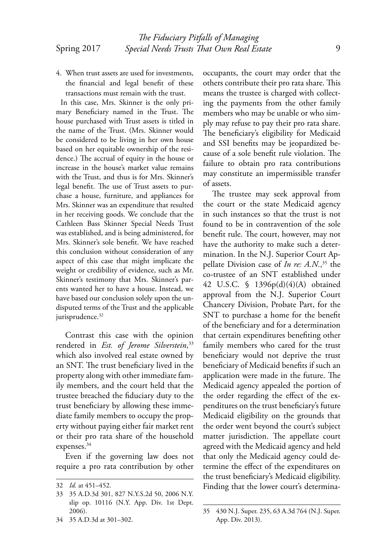- 
- 4. When trust assets are used for investments, the financial and legal benefit of these transactions must remain with the trust.

In this case, Mrs. Skinner is the only primary Beneficiary named in the Trust. The house purchased with Trust assets is titled in the name of the Trust. (Mrs. Skinner would be considered to be living in her own house based on her equitable ownership of the residence.) The accrual of equity in the house or increase in the house's market value remains with the Trust, and thus is for Mrs. Skinner's legal benefit. The use of Trust assets to purchase a house, furniture, and appliances for Mrs. Skinner was an expenditure that resulted in her receiving goods. We conclude that the Cathleen Bass Skinner Special Needs Trust was established, and is being administered, for Mrs. Skinner's sole benefit. We have reached this conclusion without consideration of any aspect of this case that might implicate the weight or credibility of evidence, such as Mr. Skinner's testimony that Mrs. Skinner's parents wanted her to have a house. Instead, we have based our conclusion solely upon the undisputed terms of the Trust and the applicable jurisprudence.<sup>32</sup>

Contrast this case with the opinion rendered in *Est. of Jerome Silverstein*, 33 which also involved real estate owned by an SNT. The trust beneficiary lived in the property along with other immediate family members, and the court held that the trustee breached the fiduciary duty to the trust beneficiary by allowing these immediate family members to occupy the property without paying either fair market rent or their pro rata share of the household expenses.<sup>34</sup>

Even if the governing law does not require a pro rata contribution by other

34 35 A.D.3d at 301–302.

occupants, the court may order that the others contribute their pro rata share. This means the trustee is charged with collecting the payments from the other family members who may be unable or who simply may refuse to pay their pro rata share. The beneficiary's eligibility for Medicaid and SSI benefits may be jeopardized because of a sole benefit rule violation. The failure to obtain pro rata contributions may constitute an impermissible transfer of assets.

The trustee may seek approval from the court or the state Medicaid agency in such instances so that the trust is not found to be in contravention of the sole benefit rule. The court, however, may not have the authority to make such a determination. In the N.J. Superior Court Appellate Division case of *In re: A.N.*, <sup>35</sup> the co-trustee of an SNT established under 42 U.S.C. § 1396p(d)(4)(A) obtained approval from the N.J. Superior Court Chancery Division, Probate Part, for the SNT to purchase a home for the benefit of the beneficiary and for a determination that certain expenditures benefiting other family members who cared for the trust beneficiary would not deprive the trust beneficiary of Medicaid benefits if such an application were made in the future. The Medicaid agency appealed the portion of the order regarding the effect of the expenditures on the trust beneficiary's future Medicaid eligibility on the grounds that the order went beyond the court's subject matter jurisdiction. The appellate court agreed with the Medicaid agency and held that only the Medicaid agency could determine the effect of the expenditures on the trust beneficiary's Medicaid eligibility. Finding that the lower court's determina-

<sup>32</sup> *Id.* at 451–452.

<sup>33 35</sup> A.D.3d 301, 827 N.Y.S.2d 50, 2006 N.Y. slip op. 10116 (N.Y. App. Div. 1st Dept. 2006).

<sup>35 430</sup> N.J. Super. 235, 63 A.3d 764 (N.J. Super. App. Div. 2013).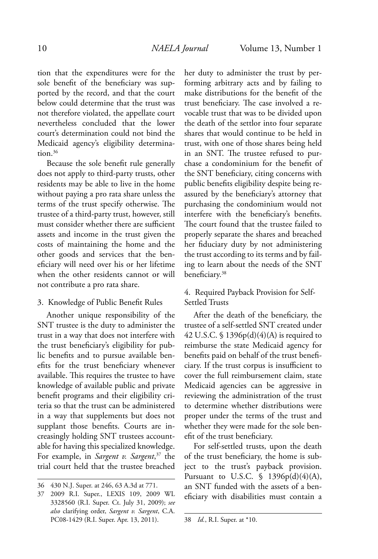tion that the expenditures were for the sole benefit of the beneficiary was supported by the record, and that the court below could determine that the trust was not therefore violated, the appellate court nevertheless concluded that the lower court's determination could not bind the Medicaid agency's eligibility determination.<sup>36</sup>

Because the sole benefit rule generally does not apply to third-party trusts, other residents may be able to live in the home without paying a pro rata share unless the terms of the trust specify otherwise. The trustee of a third-party trust, however, still must consider whether there are sufficient assets and income in the trust given the costs of maintaining the home and the other goods and services that the beneficiary will need over his or her lifetime when the other residents cannot or will not contribute a pro rata share.

3. Knowledge of Public Benefit Rules

Another unique responsibility of the SNT trustee is the duty to administer the trust in a way that does not interfere with the trust beneficiary's eligibility for public benefits and to pursue available benefits for the trust beneficiary whenever available. This requires the trustee to have knowledge of available public and private benefit programs and their eligibility criteria so that the trust can be administered in a way that supplements but does not supplant those benefits. Courts are increasingly holding SNT trustees accountable for having this specialized knowledge. For example, in *Sargent v. Sargent*, <sup>37</sup> the trial court held that the trustee breached

her duty to administer the trust by performing arbitrary acts and by failing to make distributions for the benefit of the trust beneficiary. The case involved a revocable trust that was to be divided upon the death of the settlor into four separate shares that would continue to be held in trust, with one of those shares being held in an SNT. The trustee refused to purchase a condominium for the benefit of the SNT beneficiary, citing concerns with public benefits eligibility despite being reassured by the beneficiary's attorney that purchasing the condominium would not interfere with the beneficiary's benefits. The court found that the trustee failed to properly separate the shares and breached her fiduciary duty by not administering the trust according to its terms and by failing to learn about the needs of the SNT beneficiary.<sup>38</sup>

# 4. Required Payback Provision for Self-Settled Trusts

After the death of the beneficiary, the trustee of a self-settled SNT created under 42 U.S.C.  $\$ 1396p(d)(4)(A)$  is required to reimburse the state Medicaid agency for benefits paid on behalf of the trust beneficiary. If the trust corpus is insufficient to cover the full reimbursement claim, state Medicaid agencies can be aggressive in reviewing the administration of the trust to determine whether distributions were proper under the terms of the trust and whether they were made for the sole benefit of the trust beneficiary.

For self-settled trusts, upon the death of the trust beneficiary, the home is subject to the trust's payback provision. Pursuant to U.S.C.  $\sqrt{9}$  1396p(d)(4)(A), an SNT funded with the assets of a beneficiary with disabilities must contain a

<sup>36 430</sup> N.J. Super. at 246, 63 A.3d at 771.

<sup>37 2009</sup> R.I. Super., LEXIS 109, 2009 WL 3328560 (R.I. Super. Ct. July 31, 2009); *see also* clarifying order, *Sargent v. Sargent*, C.A. PC08-1429 (R.I. Super. Apr. 13, 2011).

<sup>38</sup> *Id.*, R.I. Super. at \*10.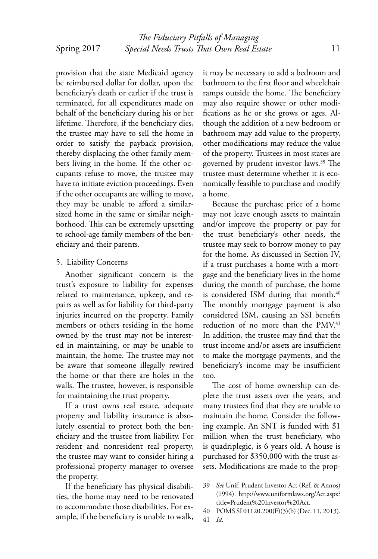provision that the state Medicaid agency be reimbursed dollar for dollar, upon the beneficiary's death or earlier if the trust is terminated, for all expenditures made on behalf of the beneficiary during his or her lifetime. Therefore, if the beneficiary dies, the trustee may have to sell the home in order to satisfy the payback provision, thereby displacing the other family members living in the home. If the other occupants refuse to move, the trustee may have to initiate eviction proceedings. Even if the other occupants are willing to move, they may be unable to afford a similarsized home in the same or similar neighborhood. This can be extremely upsetting to school-age family members of the beneficiary and their parents.

#### 5. Liability Concerns

Another significant concern is the trust's exposure to liability for expenses related to maintenance, upkeep, and repairs as well as for liability for third-party injuries incurred on the property. Family members or others residing in the home owned by the trust may not be interested in maintaining, or may be unable to maintain, the home. The trustee may not be aware that someone illegally rewired the home or that there are holes in the walls. The trustee, however, is responsible for maintaining the trust property.

If a trust owns real estate, adequate property and liability insurance is absolutely essential to protect both the beneficiary and the trustee from liability. For resident and nonresident real property, the trustee may want to consider hiring a professional property manager to oversee the property.

If the beneficiary has physical disabilities, the home may need to be renovated to accommodate those disabilities. For example, if the beneficiary is unable to walk, it may be necessary to add a bedroom and bathroom to the first floor and wheelchair ramps outside the home. The beneficiary may also require shower or other modifications as he or she grows or ages. Although the addition of a new bedroom or bathroom may add value to the property, other modifications may reduce the value of the property. Trustees in most states are governed by prudent investor laws.<sup>39</sup> The trustee must determine whether it is economically feasible to purchase and modify a home.

Because the purchase price of a home may not leave enough assets to maintain and/or improve the property or pay for the trust beneficiary's other needs, the trustee may seek to borrow money to pay for the home. As discussed in Section IV, if a trust purchases a home with a mortgage and the beneficiary lives in the home during the month of purchase, the home is considered ISM during that month.<sup>40</sup> The monthly mortgage payment is also considered ISM, causing an SSI benefits reduction of no more than the PMV.<sup>41</sup> In addition, the trustee may find that the trust income and/or assets are insufficient to make the mortgage payments, and the beneficiary's income may be insufficient too.

The cost of home ownership can deplete the trust assets over the years, and many trustees find that they are unable to maintain the home. Consider the following example. An SNT is funded with \$1 million when the trust beneficiary, who is quadriplegic, is 6 years old. A house is purchased for \$350,000 with the trust assets. Modifications are made to the prop-

<sup>39</sup> *See* Unif. Prudent Investor Act (Ref. & Annos) (1994). http://www.uniformlaws.org/Act.aspx? title=Prudent%20Investor%20Act.

<sup>40</sup> POMS SI 01120.200(F)(3)(b) (Dec. 11, 2013). 41 *Id.*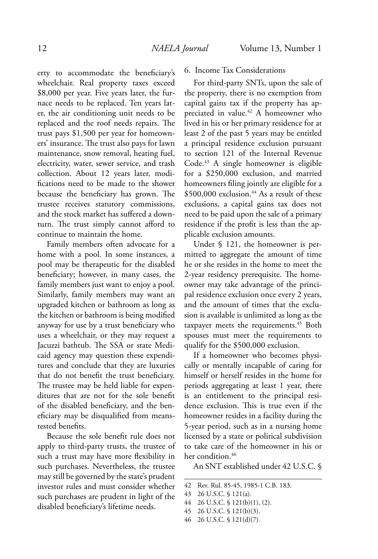erty to accommodate the beneficiary's wheelchair. Real property taxes exceed \$8,000 per year. Five years later, the furnace needs to be replaced. Ten years later, the air conditioning unit needs to be replaced and the roof needs repairs. The trust pays \$1,500 per year for homeowners' insurance. The trust also pays for lawn maintenance, snow removal, heating fuel, electricity, water, sewer service, and trash collection. About 12 years later, modifications need to be made to the shower because the beneficiary has grown. The trustee receives statutory commissions, and the stock market has suffered a downturn. The trust simply cannot afford to continue to maintain the home.

Family members often advocate for a home with a pool. In some instances, a pool may be therapeutic for the disabled beneficiary; however, in many cases, the family members just want to enjoy a pool. Similarly, family members may want an upgraded kitchen or bathroom as long as the kitchen or bathroom is being modified anyway for use by a trust beneficiary who uses a wheelchair, or they may request a Jacuzzi bathtub. The SSA or state Medicaid agency may question these expenditures and conclude that they are luxuries that do not benefit the trust beneficiary. The trustee may be held liable for expenditures that are not for the sole benefit of the disabled beneficiary, and the beneficiary may be disqualified from meanstested benefits.

Because the sole benefit rule does not apply to third-party trusts, the trustee of such a trust may have more flexibility in such purchases. Nevertheless, the trustee may still be governed by the state's prudent investor rules and must consider whether such purchases are prudent in light of the disabled beneficiary's lifetime needs.

#### 6. Income Tax Considerations

For third-party SNTs, upon the sale of the property, there is no exemption from capital gains tax if the property has appreciated in value.<sup>42</sup> A homeowner who lived in his or her primary residence for at least 2 of the past 5 years may be entitled a principal residence exclusion pursuant to section 121 of the Internal Revenue Code.<sup>43</sup> A single homeowner is eligible for a \$250,000 exclusion, and married homeowners filing jointly are eligible for a \$500,000 exclusion.<sup>44</sup> As a result of these exclusions, a capital gains tax does not need to be paid upon the sale of a primary residence if the profit is less than the applicable exclusion amounts.

Under § 121, the homeowner is permitted to aggregate the amount of time he or she resides in the home to meet the 2-year residency prerequisite. The homeowner may take advantage of the principal residence exclusion once every 2 years, and the amount of times that the exclusion is available is unlimited as long as the taxpayer meets the requirements.<sup>45</sup> Both spouses must meet the requirements to qualify for the \$500,000 exclusion.

If a homeowner who becomes physically or mentally incapable of caring for himself or herself resides in the home for periods aggregating at least 1 year, there is an entitlement to the principal residence exclusion. This is true even if the homeowner resides in a facility during the 5-year period, such as in a nursing home licensed by a state or political subdivision to take care of the homeowner in his or her condition.<sup>46</sup>

An SNT established under 42 U.S.C. §

42 Rev. Rul. 85-45, 1985-1 C.B. 183.

- 44 26 U.S.C. § 121(b)(1), (2).
- 45 26 U.S.C. § 121(b)(3).
- 46 26 U.S.C. § 121(d)(7).

<sup>43 26</sup> U.S.C. § 121(a).